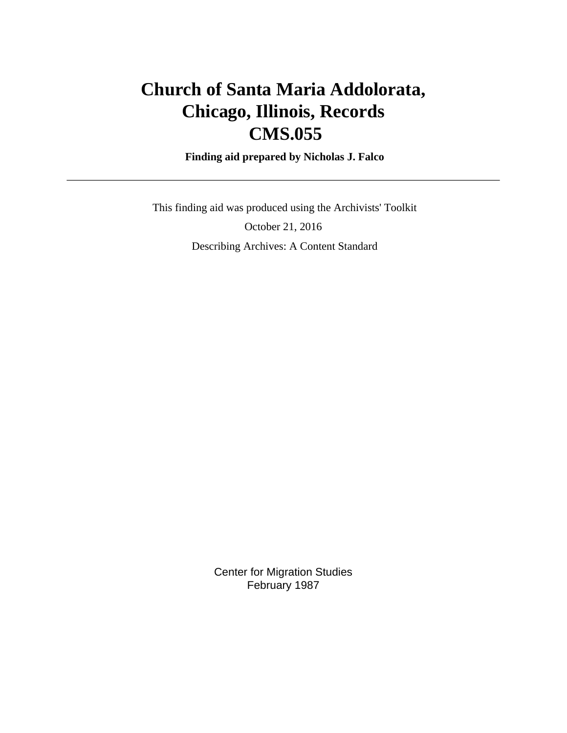# **Church of Santa Maria Addolorata, Chicago, Illinois, Records CMS.055**

 **Finding aid prepared by Nicholas J. Falco**

 This finding aid was produced using the Archivists' Toolkit October 21, 2016 Describing Archives: A Content Standard

> Center for Migration Studies February 1987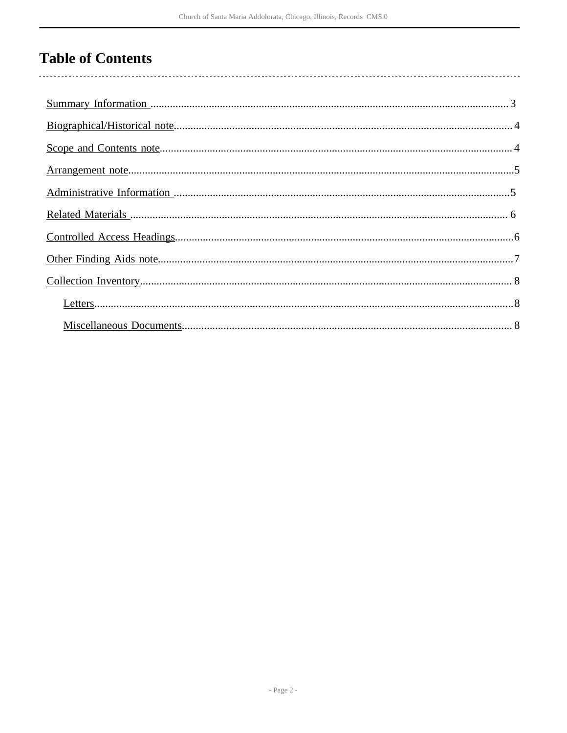# **Table of Contents**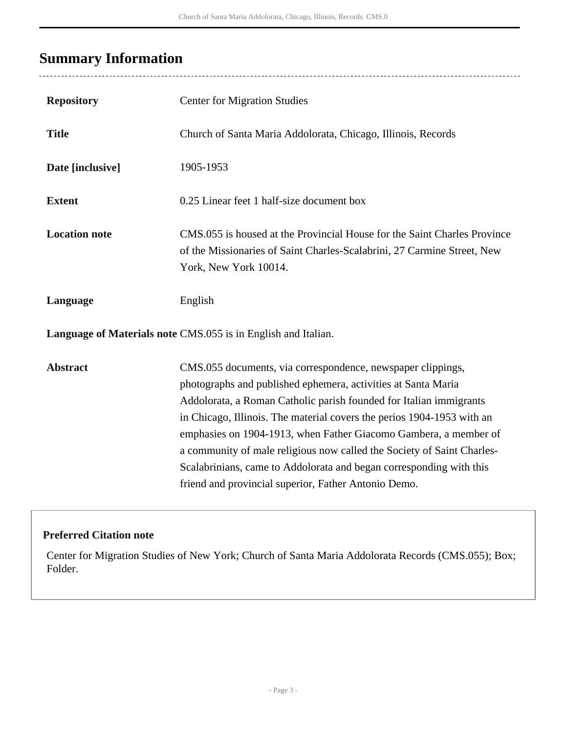## <span id="page-2-0"></span>**Summary Information**

 $\overline{a}$ 

| <b>Repository</b>    | <b>Center for Migration Studies</b>                                                                                                                                                                                                                                                                                                                                                                                                                                                                                                                       |
|----------------------|-----------------------------------------------------------------------------------------------------------------------------------------------------------------------------------------------------------------------------------------------------------------------------------------------------------------------------------------------------------------------------------------------------------------------------------------------------------------------------------------------------------------------------------------------------------|
| <b>Title</b>         | Church of Santa Maria Addolorata, Chicago, Illinois, Records                                                                                                                                                                                                                                                                                                                                                                                                                                                                                              |
| Date [inclusive]     | 1905-1953                                                                                                                                                                                                                                                                                                                                                                                                                                                                                                                                                 |
| <b>Extent</b>        | 0.25 Linear feet 1 half-size document box                                                                                                                                                                                                                                                                                                                                                                                                                                                                                                                 |
| <b>Location note</b> | CMS.055 is housed at the Provincial House for the Saint Charles Province<br>of the Missionaries of Saint Charles-Scalabrini, 27 Carmine Street, New<br>York, New York 10014.                                                                                                                                                                                                                                                                                                                                                                              |
| Language             | English                                                                                                                                                                                                                                                                                                                                                                                                                                                                                                                                                   |
|                      | <b>Language of Materials note CMS.055</b> is in English and Italian.                                                                                                                                                                                                                                                                                                                                                                                                                                                                                      |
| <b>Abstract</b>      | CMS.055 documents, via correspondence, newspaper clippings,<br>photographs and published ephemera, activities at Santa Maria<br>Addolorata, a Roman Catholic parish founded for Italian immigrants<br>in Chicago, Illinois. The material covers the perios 1904-1953 with an<br>emphasies on 1904-1913, when Father Giacomo Gambera, a member of<br>a community of male religious now called the Society of Saint Charles-<br>Scalabrinians, came to Addolorata and began corresponding with this<br>friend and provincial superior, Father Antonio Demo. |

### **Preferred Citation note**

Center for Migration Studies of New York; Church of Santa Maria Addolorata Records (CMS.055); Box; Folder.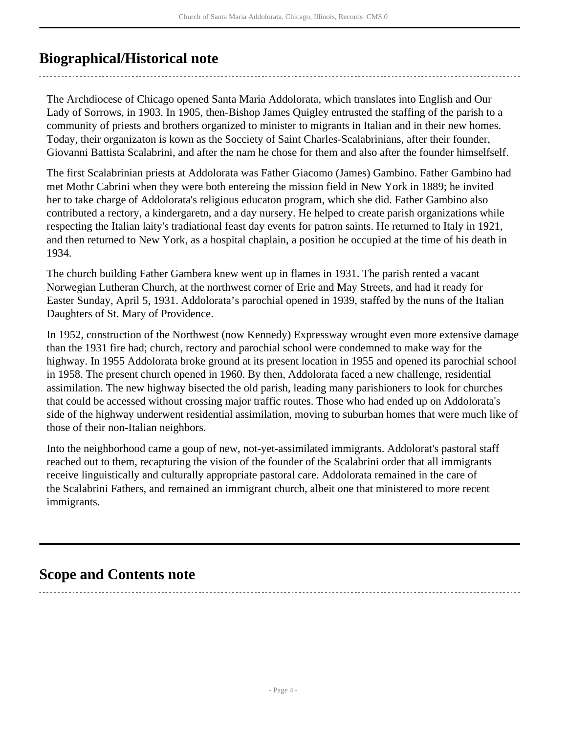### <span id="page-3-0"></span>**Biographical/Historical note**

The Archdiocese of Chicago opened Santa Maria Addolorata, which translates into English and Our Lady of Sorrows, in 1903. In 1905, then-Bishop James Quigley entrusted the staffing of the parish to a community of priests and brothers organized to minister to migrants in Italian and in their new homes. Today, their organizaton is kown as the Socciety of Saint Charles-Scalabrinians, after their founder, Giovanni Battista Scalabrini, and after the nam he chose for them and also after the founder himselfself.

The first Scalabrinian priests at Addolorata was Father Giacomo (James) Gambino. Father Gambino had met Mothr Cabrini when they were both entereing the mission field in New York in 1889; he invited her to take charge of Addolorata's religious educaton program, which she did. Father Gambino also contributed a rectory, a kindergaretn, and a day nursery. He helped to create parish organizations while respecting the Italian laity's tradiational feast day events for patron saints. He returned to Italy in 1921, and then returned to New York, as a hospital chaplain, a position he occupied at the time of his death in 1934.

The church building Father Gambera knew went up in flames in 1931. The parish rented a vacant Norwegian Lutheran Church, at the northwest corner of Erie and May Streets, and had it ready for Easter Sunday, April 5, 1931. Addolorata's parochial opened in 1939, staffed by the nuns of the Italian Daughters of St. Mary of Providence.

In 1952, construction of the Northwest (now Kennedy) Expressway wrought even more extensive damage than the 1931 fire had; church, rectory and parochial school were condemned to make way for the highway. In 1955 Addolorata broke ground at its present location in 1955 and opened its parochial school in 1958. The present church opened in 1960. By then, Addolorata faced a new challenge, residential assimilation. The new highway bisected the old parish, leading many parishioners to look for churches that could be accessed without crossing major traffic routes. Those who had ended up on Addolorata's side of the highway underwent residential assimilation, moving to suburban homes that were much like of those of their non-Italian neighbors.

Into the neighborhood came a goup of new, not-yet-assimilated immigrants. Addolorat's pastoral staff reached out to them, recapturing the vision of the founder of the Scalabrini order that all immigrants receive linguistically and culturally appropriate pastoral care. Addolorata remained in the care of the Scalabrini Fathers, and remained an immigrant church, albeit one that ministered to more recent immigrants.

### <span id="page-3-1"></span>**Scope and Contents note**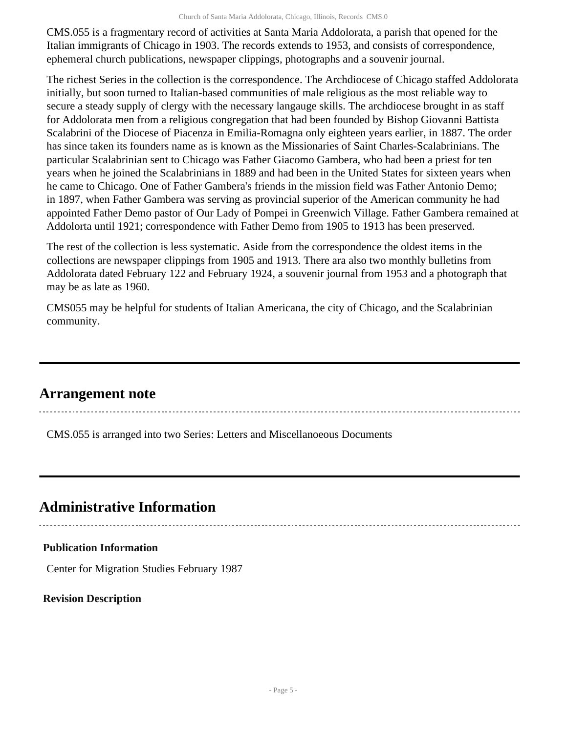CMS.055 is a fragmentary record of activities at Santa Maria Addolorata, a parish that opened for the Italian immigrants of Chicago in 1903. The records extends to 1953, and consists of correspondence, ephemeral church publications, newspaper clippings, photographs and a souvenir journal.

The richest Series in the collection is the correspondence. The Archdiocese of Chicago staffed Addolorata initially, but soon turned to Italian-based communities of male religious as the most reliable way to secure a steady supply of clergy with the necessary langauge skills. The archdiocese brought in as staff for Addolorata men from a religious congregation that had been founded by Bishop Giovanni Battista Scalabrini of the Diocese of Piacenza in Emilia-Romagna only eighteen years earlier, in 1887. The order has since taken its founders name as is known as the Missionaries of Saint Charles-Scalabrinians. The particular Scalabrinian sent to Chicago was Father Giacomo Gambera, who had been a priest for ten years when he joined the Scalabrinians in 1889 and had been in the United States for sixteen years when he came to Chicago. One of Father Gambera's friends in the mission field was Father Antonio Demo; in 1897, when Father Gambera was serving as provincial superior of the American community he had appointed Father Demo pastor of Our Lady of Pompei in Greenwich Village. Father Gambera remained at Addolorta until 1921; correspondence with Father Demo from 1905 to 1913 has been preserved.

The rest of the collection is less systematic. Aside from the correspondence the oldest items in the collections are newspaper clippings from 1905 and 1913. There ara also two monthly bulletins from Addolorata dated February 122 and February 1924, a souvenir journal from 1953 and a photograph that may be as late as 1960.

CMS055 may be helpful for students of Italian Americana, the city of Chicago, and the Scalabrinian community.

### <span id="page-4-0"></span>**Arrangement note**

CMS.055 is arranged into two Series: Letters and Miscellanoeous Documents

## <span id="page-4-1"></span>**Administrative Information**

### **Publication Information**

Center for Migration Studies February 1987

**Revision Description**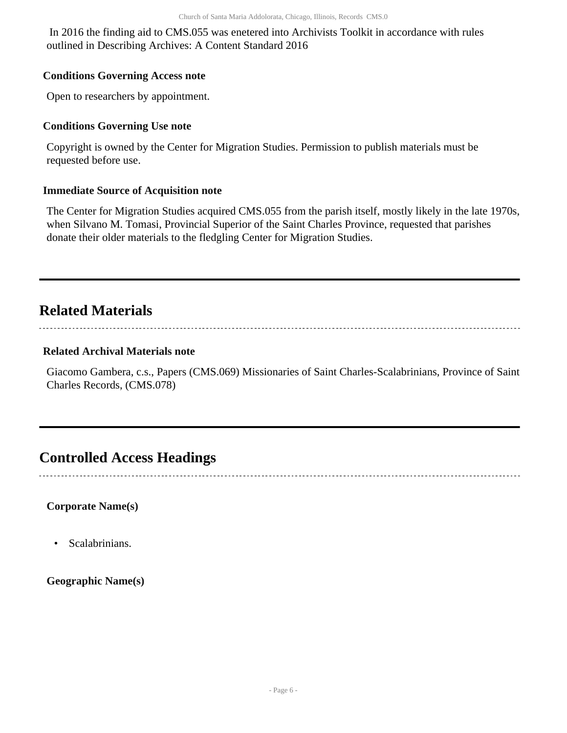In 2016 the finding aid to CMS.055 was enetered into Archivists Toolkit in accordance with rules outlined in Describing Archives: A Content Standard 2016

#### **Conditions Governing Access note**

Open to researchers by appointment.

#### **Conditions Governing Use note**

Copyright is owned by the Center for Migration Studies. Permission to publish materials must be requested before use.

#### **Immediate Source of Acquisition note**

The Center for Migration Studies acquired CMS.055 from the parish itself, mostly likely in the late 1970s, when Silvano M. Tomasi, Provincial Superior of the Saint Charles Province, requested that parishes donate their older materials to the fledgling Center for Migration Studies.

### <span id="page-5-0"></span>**Related Materials**

#### **Related Archival Materials note**

Giacomo Gambera, c.s., Papers (CMS.069) Missionaries of Saint Charles-Scalabrinians, Province of Saint Charles Records, (CMS.078)

### <span id="page-5-1"></span>**Controlled Access Headings**

**Corporate Name(s)**

• Scalabrinians.

**Geographic Name(s)**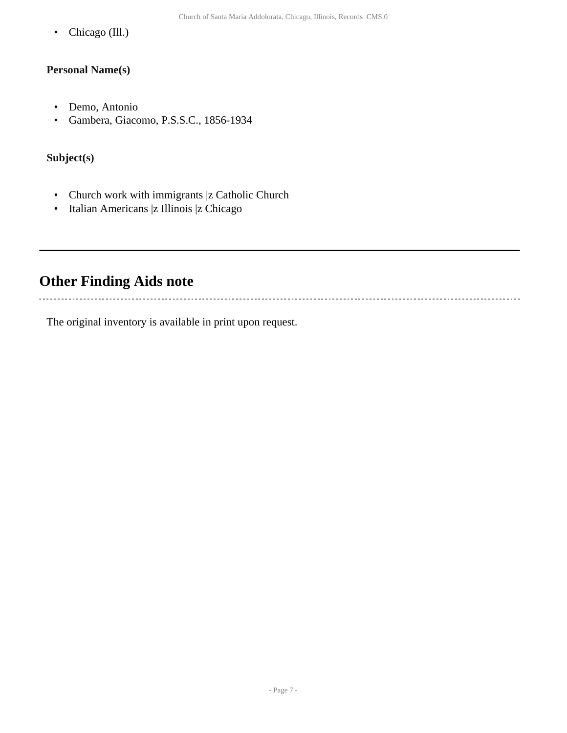• Chicago (Ill.)

#### **Personal Name(s)**

- Demo, Antonio
- Gambera, Giacomo, P.S.S.C., 1856-1934

#### **Subject(s)**

- Church work with immigrants |z Catholic Church
- Italian Americans |z Illinois |z Chicago

### <span id="page-6-0"></span>**Other Finding Aids note**

The original inventory is available in print upon request.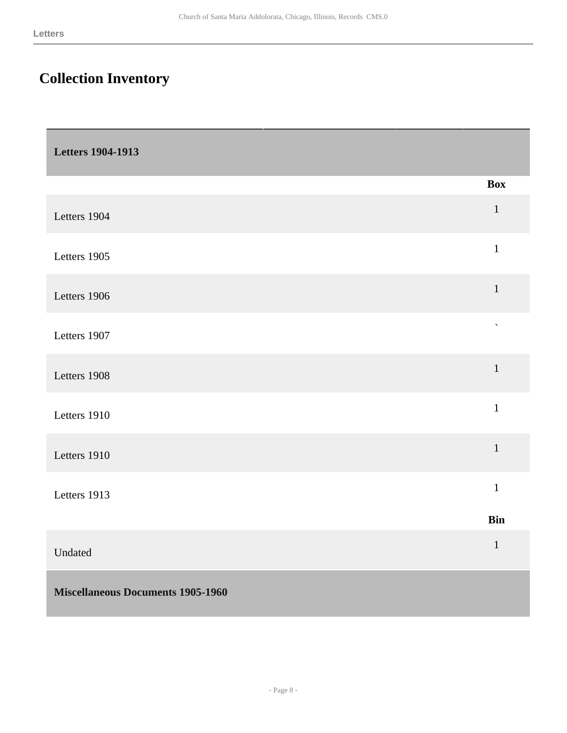## <span id="page-7-0"></span>**Collection Inventory**

<span id="page-7-2"></span><span id="page-7-1"></span>

| <b>Letters 1904-1913</b>                 |                    |
|------------------------------------------|--------------------|
|                                          | <b>Box</b>         |
| Letters 1904                             | $\mathbf{1}$       |
| Letters 1905                             | $\mathbf{1}$       |
| Letters 1906                             | $\mathbf{1}$       |
| Letters 1907                             | $\bar{\mathbf{v}}$ |
| Letters 1908                             | $\mathbf{1}$       |
| Letters 1910                             | $\mathbf{1}$       |
| Letters 1910                             | $\mathbf{1}$       |
| Letters 1913                             | $\mathbf{1}$       |
|                                          | <b>Bin</b>         |
| Undated                                  | $\mathbf{1}$       |
| <b>Miscellaneous Documents 1905-1960</b> |                    |